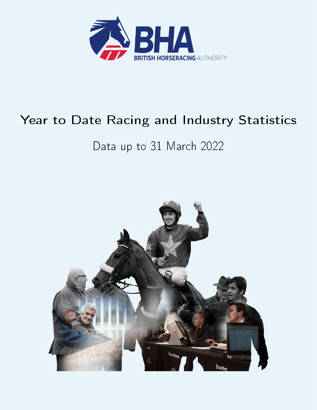

# Year to Date Racing and Industry Statistics

# Data up to 31 March 2022

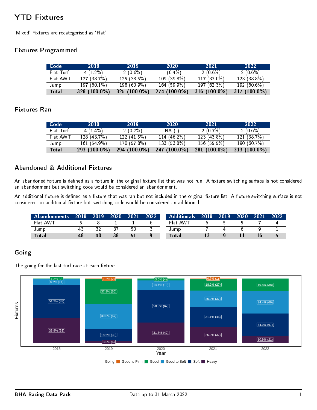# YTD Fixtures

`Mixed' Fixtures are recategorised as `Flat'.

#### Fixtures Programmed

| Code      | 2018         | 2019            | 2020          | 2021            | 2022            |
|-----------|--------------|-----------------|---------------|-----------------|-----------------|
| Flat Turf | $4(1.2\%)$   | $2(0.6\%)$      | $1(0.4\%)$    | $2(0.6\%)$      | $2(0.6\%)$      |
| Flat AWT  | 127(387%)    | 125(38.5%)      | $109(39.8\%)$ | $117(37.0\%)$   | 123 (38.8%)     |
| Jump      | $197(601\%)$ | 198 (60.9%)     | $164(59.9\%)$ | 197 (62 3%)     | 192(606%)       |
| Total     | 328 (100.0%) | 325 $(100.0\%)$ | 274 (100.0%)  | 316 $(100.0\%)$ | 317 $(100.0\%)$ |

### Fixtures Ran

| Code         | 2018         | 2019         | 2020           | 2021         | 2022         |
|--------------|--------------|--------------|----------------|--------------|--------------|
| Flat Turf    | $4(1.4\%)$   | $2(0.7\%)$   | NA (-)         | 2(0.7%)      | $2(0.6\%)$   |
| Flat AWT     | 128(437%)    | 122(415%)    | 114 $(46.2\%)$ | $123(438\%)$ | 121(387%)    |
| Jump         | 161(549%)    | 170 (57.8%)  | 133 (53.8%)    | 156(55.5%)   | 190 (60 7%)  |
| <b>Total</b> | 293 (100.0%) | 294 (100.0%) | 247 (100.0%)   | 281 (100.0%) | 313 (100.0%) |

### Abandoned & Additional Fixtures

An abandoned fixture is defined as a fixture in the original fixture list that was not run. A fixture switching surface is not considered an abandonment but switching code would be considered an abandonment.

An additional fixture is defined as a fixture that was ran but not included in the original fixture list. A fixture switching surface is not considered an additional fixture but switching code would be considered an additional.

| 'Abandonments a | 2018 | 2019 | 2020 | 2021 | 2022 | <b>Additionals</b> 2018 | $-2019$ | 2020 | 2021' | 2022. |
|-----------------|------|------|------|------|------|-------------------------|---------|------|-------|-------|
| Flat AWT        |      |      |      |      |      | Flat AWT                |         |      |       |       |
| Jump            | 43   |      |      | 50   |      | Jump                    |         |      |       |       |
| Total           | 48   | 40   | 38   | 51   |      | Total                   |         |      |       |       |

### Going

The going for the last turf race at each fixture.

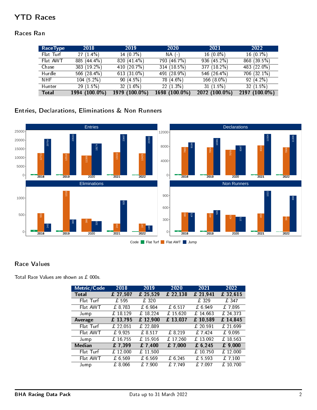# YTD Races

### Races Ran

| RaceType     | 2018           | 2019           | 2020          | 2021          | 2022          |
|--------------|----------------|----------------|---------------|---------------|---------------|
| Flat Turf    | $27(1.4\%)$    | 14 $(0.7%)$    | $NA$ (-)      | $16(0.8\%)$   | $16(0.7\%)$   |
| Flat AWT     | $885(444\%)$   | 820 (41.4%)    | 793 (46.7%)   | 936 (45.2%)   | 868 (39.5%)   |
| Chase        | 383 (19.2%)    | 410 (20.7%)    | 314(18.5%)    | 377 (18.2%)   | 483 (22.0%)   |
| Hurdle       | 566 $(28.4\%)$ | 613 $(31.0\%)$ | 491 (28.9%)   | 546 (26.4%)   | $706(321\%)$  |
| NHF.         | $104(5.2\%)$   | 90 $(4.5\%)$   | 78 (4 6%)     | 166 (8.0%)    | $92(4.2\%)$   |
| Hunter       | 29 $(1.5\%)$   | 32 $(1.6\%)$   | 22(1.3%)      | 31(1.5%)      | 32 $(1.5%)$   |
| <b>Total</b> | 1994 (100.0%)  | 1979 (100.0%)  | 1698 (100.0%) | 2072 (100.0%) | 2197 (100.0%) |

# Entries, Declarations, Eliminations & Non Runners



### Race Values

Total Race Values are shown as £ 000s.

| Metric/Code   | 2018       | 2019       | 2020     | 2021                         | 2022                         |
|---------------|------------|------------|----------|------------------------------|------------------------------|
| <b>Total</b>  | £ 27,507   | £ 25,529   | £ 22,138 | £ 21,941                     | £ 32,615                     |
| Flat Turf     | £ 595      | £ 320      |          | £329                         | £347                         |
| Flat AWT      | £ 8,783    | £ 6,984    | £ 6,517  | £ 6,949                      | £7,895                       |
| Jump          | £ 18,129   | £ 18,224   | £15,620  | £ 14,663                     | £ 24,373                     |
| Average       | £13,795    | $£$ 12,900 | £ 13,037 | £ 10,589                     | £14,845                      |
| Flat Turf     | £ $22,051$ | £ 22,889   |          | £ 20,591                     | £ 21,699                     |
| Flat AWT      | £9,925     | £ 8,517    | £ 8,219  | £ 7,424                      | £9.095                       |
| Jump          | £16,755    | £ 15,916   | £ 17,260 | £ 13,092                     | £ 18,563                     |
| <b>Median</b> | £7,399     | £7,400     | £7,000   | £ 6, 245                     | £9,000                       |
| Flat Turf     | £ $12,000$ | £ 11,500   |          | $\overline{\text{£}}$ 10,750 | £ 12,000                     |
| Flat AWT      | £6,569     | £ 6.569    | £ 6.245  | £ 5.593                      | £7,100                       |
| Jump          | £ 8,066    | £7,900     | £ 7,749  | £ 7.097                      | $\overline{\text{£}}$ 10,700 |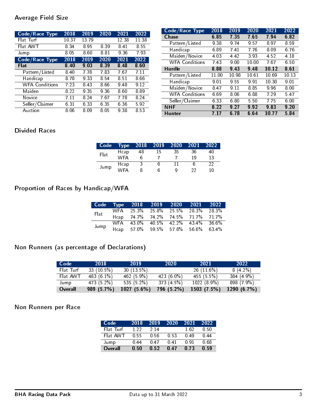### Average Field Size

| Code/Race Type        | 2018  | 2019 | 2020 | 2021  | 2022  |
|-----------------------|-------|------|------|-------|-------|
| Flat Turf             | 10.37 | 1379 |      | 12.38 | 11.38 |
| Flat AWT              | 8.34  | 8.95 | 8.39 | 8.41  | 8.55  |
| Jump                  | 8.05  | 8.60 | 881  | 9.36  | 7.93  |
| Code/Race Type        | 2018  | 2019 | 2020 | 2021  | 2022  |
| Flat                  | 8.40  | 9.03 | 8.39 | 8.48  | 8.60  |
| Pattern/Listed        | 8.40  | 7.78 | 7.83 | 767   | 711   |
| Handicap              | 8.78  | 9.33 | 8.54 | 851   | 8.66  |
| <b>WFA Conditions</b> | 7.23  | 8.43 | 8.66 | 9.48  | 9.12  |
| Maiden                | 8.22  | 9.35 | 9.36 | 8.60  | 889   |
| Novice                | 7.11  | 8.24 | 7.67 | 7.78  | 8 2 4 |
| Seller/Claimer        | 6.31  | 6.33 | 6.35 | 6.36  | 592   |
| Auction               | 8.06  | 8.09 | 8.05 | 938   | 853   |

| Code/Race Type        | 2018  | 2019  | 2020  | 2021  | 2022 |
|-----------------------|-------|-------|-------|-------|------|
| <b>Chase</b>          | 6.85  | 7.35  | 7.65  | 7.94  | 6.82 |
| Pattern/Listed        | 938   | 9.74  | 9.57  | 897   | 8.59 |
| Handicap              | 6.89  | 741   | 7.76  | 8.09  | 6.76 |
| Maiden/Novice         | 4.03  | 4.42  | 3.93  | 4.52  | 4.18 |
| <b>WFA Conditions</b> | 743   | 9.00  | 10.00 | 767   | 6.50 |
| <b>Hurdle</b>         | 8.88  | 9.43  | 9.48  | 10 12 | 8.61 |
| Pattern/Listed        | 11.00 | 10.98 | 10.61 | 10.69 | 1013 |
| Handicap              | 9.01  | 9.55  | 9.91  | 10.30 | 9.01 |
| Maiden/Novice         | 847   | 9.11  | 8.85  | 9.96  | 8.00 |
| <b>WFA Conditions</b> | 6.69  | 8.06  | 6.88  | 7.29  | 547  |
| Seller/Claimer        | 6 33  | 6.80  | 5.50  | 7.75  | 6.00 |
| <b>NHF</b>            | 8.22  | 9.27  | 992   | 9.83  | 9.20 |
| <b>Hunter</b>         | 7 17  | 6.78  | 6.64  | 10.77 | 584  |

# Divided Races

| Code | Type       | 2018 | 2019 | 2020 | 2021 | 2022 |
|------|------------|------|------|------|------|------|
| Flat | Hcap       | 48   | 15   | 35   | 36   | 40   |
|      | WFA        |      |      |      | 19   | 13   |
|      | Hcap       |      | h    |      |      | 22   |
| Jump | <b>WFA</b> |      | h    | q    | つつ   | 10   |

# Proportion of Races by Handicap/WFA

|      | Code Type 2018 2019 2020 2021 2022 |  |  |
|------|------------------------------------|--|--|
| Flat | WFA 25.3% 25.8% 25.5% 28.3% 28.3%  |  |  |
|      | Hcap 74.7% 74.2% 74.5% 71.7% 71.7% |  |  |
|      | WFA 43.0% 40.5% 42.2% 43.4% 36.6%  |  |  |
| Jump | Hcap 57.0% 59.5% 57.8% 56.6% 63.4% |  |  |

# Non Runners (as percentage of Declarations)

| Code      | 2018          | -2019         | 2020         | 2021         | 2022        |
|-----------|---------------|---------------|--------------|--------------|-------------|
| Flat Turf | 33 $(10.5\%)$ | $30(13.5\%)$  |              | 26(11.6%)    | 8(42%)      |
| Flat AWT  | 483 (6.1%)    | 462 (5 9%)    | $423(6.0\%)$ | $455(5.5\%)$ | 384 (4.9%)  |
| Jump      | 473 (5.2%)    | 535 $(5.2\%)$ | 373(4.5%)    | 1022 (8.9%)  | 898 (7.9%)  |
| Overall   | 989 (5.7%)    | 1027(56%)     | 796 (5.2%)   | 1503(7.5%)   | 1290 (6.7%) |

## Non Runners per Race

| Code      | 2018 | 2019        | 2020 | 2021 | 2022 |
|-----------|------|-------------|------|------|------|
| Flat Turf | 1 22 | 214         |      | 1.62 | O 50 |
| Flat AWT  | 0.55 | <u>በ 56</u> | 0.53 | በ 49 | በ 44 |
| Jump      | በ 44 | በ 47        | በ 41 | በ 91 | 0 68 |
| Overall   | 0.50 | 0.52        | O 47 | 0.73 | O 59 |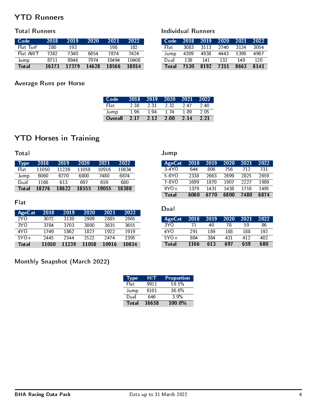# YTD Runners

#### Total Runners

| Code         | 2018  | 2019  | 2020  | 2021  | 2022  |
|--------------|-------|-------|-------|-------|-------|
| Flat Turf    | 280   | 193   |       | 198   | 182   |
| Flat AWT     | 7382  | 7340  | 6654  | 7874  | 7424  |
| Jump         | 8711  | 9846  | 7974  | 10494 | 10408 |
| <b>Total</b> | 16373 | 17379 | 14628 | 18566 | 18014 |

### Average Runs per Horse

| Code    | 2018 | 2019 | 2020 | 2021 | 2022 |
|---------|------|------|------|------|------|
| Flati   | 2.38 | 2.31 | 2.32 | 247  | 240  |
| Jump    | 1.96 | 194  | 174  | 189  | 2.05 |
| Overall | 2.17 | 2.12 | 2.00 | 2.14 | 2.21 |

Jump

 $\overline{\ }$  Total  $\overline{\ }$ 

Individual Runners

# YTD Horses in Training

Total

| <b>Type</b> | 2018  | 2019  | 2020  | 2021  | 2022  |
|-------------|-------|-------|-------|-------|-------|
| Flat        | 11050 | 11239 | 11058 | 10916 | 10834 |
| Jump        | 6060  | 6770  | 6800  | 7480  | 6874  |
| Dual        | 1166  | 613   | 697   | 659   | 680   |
| Total       | 18276 | 18622 | 18555 | 19055 | 18388 |

### Flat

| AgeCat          | 2018  | 2019  | 2020  | 2021  | 2022  |
|-----------------|-------|-------|-------|-------|-------|
| 2Y <sub>O</sub> | 3072  | 3130  | 2909  | 2885  | 2865  |
| 3Y O            | 3784  | 3703  | 3800  | 3635  | 3655  |
| 4Y O            | 1749  | 1862  | 1827  | 1922  | 1919  |
| $5Y0+$          | 2445  | 2544  | 2522  | 2474  | 2395  |
| Total           | 11050 | 11239 | 11058 | 10916 | 10834 |

# Dual AgeCat 2018 2019 2020 2021 2022

| Total  | 1166 | 613 | 697 | 659 | 680 |
|--------|------|-----|-----|-----|-----|
| $5Y0+$ | 804  | 384 | 431 | 412 | 402 |
| 4Y O   | 291  | 189 | 188 | 188 | 192 |
| 3YO    | 71   | 40  | 78  | 59  | 86  |
| $\sim$ |      |     |     |     |     |

AgeCat 2018 2019 2020 2021 2022 3-4YO 644 806 756 712 731 5-6YO 2338 2663 2699 2825 2659 7-8YO 1699 1870 1907 2227 1989 9YO+ 1379 1431 1438 1716 1495

# Monthly Snapshot (March 2022)

| <b>Type</b> | HIT   | Proportion |
|-------------|-------|------------|
| Flat        | 9911  | $59.5\%$   |
| Jump        | 6101  | $36.6\%$   |
| Dual        | 646   | 3.9%       |
| Total       | 16658 | 100.0%     |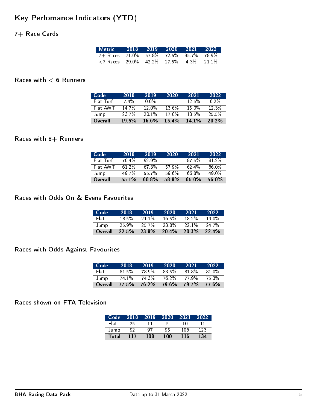# Key Perfomance Indicators (YTD)

### 7+ Race Cards

| Metric 2018 2019 2020 2021 2022                                              |  |  |          |
|------------------------------------------------------------------------------|--|--|----------|
| 7+ Races 71.0% 57.8% 72.5% 95.7% 78.9%                                       |  |  |          |
| $\langle 7 \text{ Races} \quad 29.0\% \quad 42.2\% \quad 27.5\% \quad 4.3\%$ |  |  | $21.1\%$ |

### Races with  $< 6$  Runners

| Code      | 2018    | 2019              | 2020     | 2021     | 2022     |
|-----------|---------|-------------------|----------|----------|----------|
| Flat Turf | $7.4\%$ | $0.0\%$           |          | $12.5\%$ | $6.2\%$  |
| Flat AWT  | 14.7%   | 12.0 <sup>%</sup> | $13.6\%$ | 15.0%    | 12.3%    |
| Jump      | 237%    | $201\%$           | 17.0%    | $13.5\%$ | $25.5\%$ |
| Overall   | 19.5%   | $16.6\%$          | 15.4%    | $14.1\%$ | $20.2\%$ |

### Races with  $8+$  Runners

| Code      | 2018  | 2019    | 2020  | 2021  | 2022              |
|-----------|-------|---------|-------|-------|-------------------|
| Flat Turf | 70.4% | $929\%$ |       | 87.5% | $81,2\%$          |
| Flat AWT  | 612%  | 67.3%   | 57.9% | 62.4% | 66 0%             |
| Jump      | 49.7% | 557%    | 59.6% | 66.8% | 49 0 <sup>%</sup> |
| Overall   | 55.1% | 60.8%   | 58.8% | 65.0% | $56.0\%$          |

#### Races with Odds On & Evens Favourites

| Code    | 2018     | 2019    | 2020     | 2021     | 2022     |
|---------|----------|---------|----------|----------|----------|
| Flat    | 18.5%    | $211\%$ | $16.5\%$ | $18.2\%$ | 19.0%    |
| Jump    | $25.9\%$ | 25.7%   | 23.8%    | 221%     | 24.7%    |
| Overall | 22.5%    | 23.8%   | 20.4%    | 20.3%    | $22.4\%$ |

## Races with Odds Against Favourites

| Code    | 2018  | 2019  | 2020     | 2021         | 2022  |
|---------|-------|-------|----------|--------------|-------|
| Elat.   | 81.5% | 78.9% | $83.5\%$ | 81 8%        | 81.0% |
| Jump    | 74.1% | 74.3% | 76.2%    | 77 9%        | 75.3% |
| Overall | 77.5% | 76.2% | 79.6%    | <b>79.7%</b> | 77.6% |

### Races shown on FTA Television

| Code 2018    |     | 2019 | 2020 | 2021 | 2022 |
|--------------|-----|------|------|------|------|
| Flat         | 25. |      | Б,   | 10   |      |
| Jump         | 92  | 07   | ۹5   | 106  | 123  |
| <b>Total</b> | 117 | 108  | 100  | 116  | 134  |